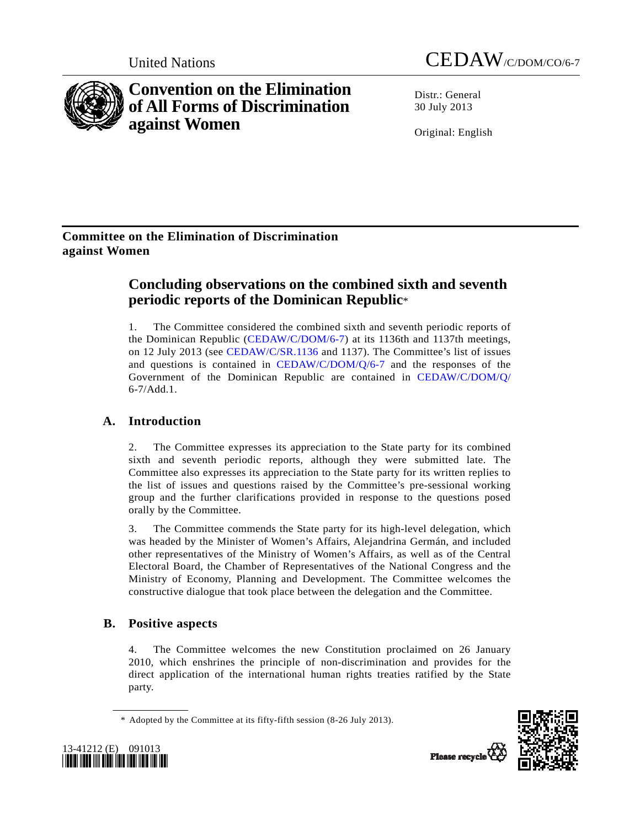



**Convention on the Elimination of All Forms of Discrimination against Women** 

Distr · General 30 July 2013

Original: English

## **Committee on the Elimination of Discrimination against Women**

# **Concluding observations on the combined sixth and seventh periodic reports of the Dominican Republic**\*

1. The Committee considered the combined sixth and seventh periodic reports of the Dominican Republic ([CEDAW/C/DOM/6-7\)](http://undocs.org/CEDAW/C/DOM/6) at its 1136th and 1137th meetings, on 12 July 2013 (see [CEDAW/C/SR.1136](http://undocs.org/CEDAW/C/SR.1136) and 1137). The Committee's list of issues and questions is contained in [CEDAW/C/DOM/Q/6-7](http://undocs.org/CEDAW/C/DOM/Q/6) and the responses of the Government of the Dominican Republic are contained in [CEDAW/C/DOM/Q/](http://undocs.org/CEDAW/C/DOM/Q/) 6-7/Add.1.

## **A. Introduction**

2. The Committee expresses its appreciation to the State party for its combined sixth and seventh periodic reports, although they were submitted late. The Committee also expresses its appreciation to the State party for its written replies to the list of issues and questions raised by the Committee's pre-sessional working group and the further clarifications provided in response to the questions posed orally by the Committee.

3. The Committee commends the State party for its high-level delegation, which was headed by the Minister of Women's Affairs, Alejandrina Germán, and included other representatives of the Ministry of Women's Affairs, as well as of the Central Electoral Board, the Chamber of Representatives of the National Congress and the Ministry of Economy, Planning and Development. The Committee welcomes the constructive dialogue that took place between the delegation and the Committee.

## **B. Positive aspects**

4. The Committee welcomes the new Constitution proclaimed on 26 January 2010, which enshrines the principle of non-discrimination and provides for the direct application of the international human rights treaties ratified by the State party.

\* Adopted by the Committee at its fifty-fifth session (8-26 July 2013).



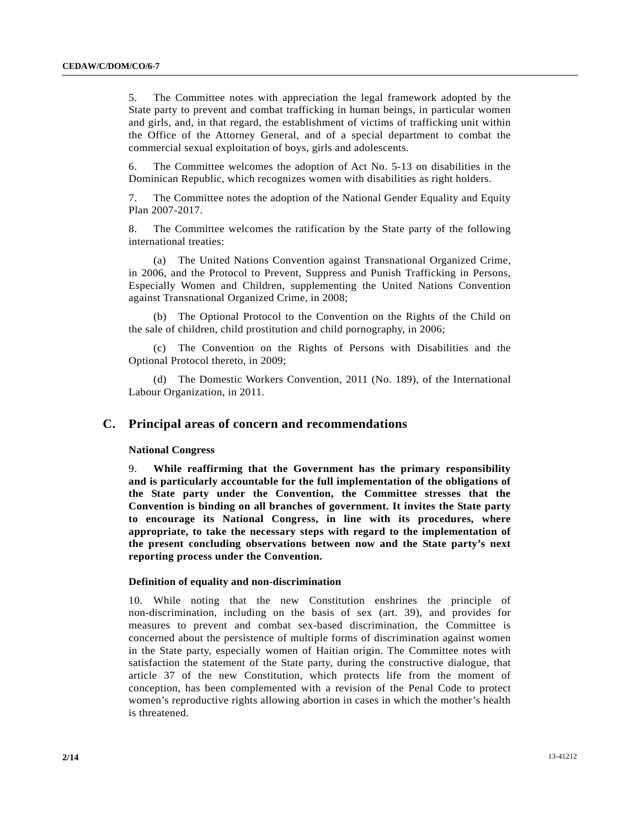5. The Committee notes with appreciation the legal framework adopted by the State party to prevent and combat trafficking in human beings, in particular women and girls, and, in that regard, the establishment of victims of trafficking unit within the Office of the Attorney General, and of a special department to combat the commercial sexual exploitation of boys, girls and adolescents.

6. The Committee welcomes the adoption of Act No. 5-13 on disabilities in the Dominican Republic, which recognizes women with disabilities as right holders.

7. The Committee notes the adoption of the National Gender Equality and Equity Plan 2007-2017.

8. The Committee welcomes the ratification by the State party of the following international treaties:

 (a) The United Nations Convention against Transnational Organized Crime, in 2006, and the Protocol to Prevent, Suppress and Punish Trafficking in Persons, Especially Women and Children, supplementing the United Nations Convention against Transnational Organized Crime, in 2008;

 (b) The Optional Protocol to the Convention on the Rights of the Child on the sale of children, child prostitution and child pornography, in 2006;

 (c) The Convention on the Rights of Persons with Disabilities and the Optional Protocol thereto, in 2009;

 (d) The Domestic Workers Convention, 2011 (No. 189), of the International Labour Organization, in 2011.

## **C. Principal areas of concern and recommendations**

## **National Congress**

9. **While reaffirming that the Government has the primary responsibility and is particularly accountable for the full implementation of the obligations of the State party under the Convention, the Committee stresses that the Convention is binding on all branches of government. It invites the State party to encourage its National Congress, in line with its procedures, where appropriate, to take the necessary steps with regard to the implementation of the present concluding observations between now and the State party's next reporting process under the Convention.**

## **Definition of equality and non-discrimination**

10. While noting that the new Constitution enshrines the principle of non-discrimination, including on the basis of sex (art. 39), and provides for measures to prevent and combat sex-based discrimination, the Committee is concerned about the persistence of multiple forms of discrimination against women in the State party, especially women of Haitian origin. The Committee notes with satisfaction the statement of the State party, during the constructive dialogue, that article 37 of the new Constitution, which protects life from the moment of conception, has been complemented with a revision of the Penal Code to protect women's reproductive rights allowing abortion in cases in which the mother's health is threatened.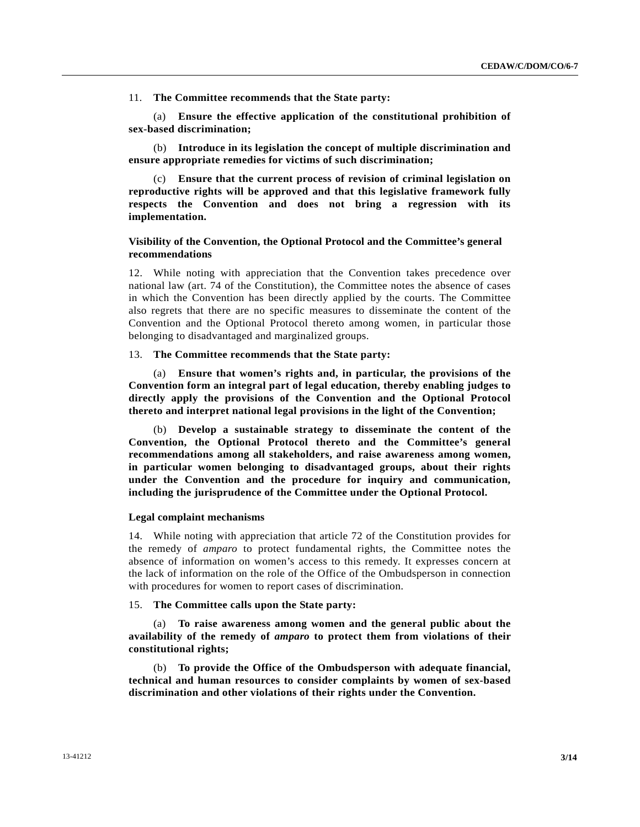11. **The Committee recommends that the State party:**

 (a) **Ensure the effective application of the constitutional prohibition of sex-based discrimination;**

 (b) **Introduce in its legislation the concept of multiple discrimination and ensure appropriate remedies for victims of such discrimination;**

 (c) **Ensure that the current process of revision of criminal legislation on reproductive rights will be approved and that this legislative framework fully respects the Convention and does not bring a regression with its implementation.**

## **Visibility of the Convention, the Optional Protocol and the Committee's general recommendations**

12. While noting with appreciation that the Convention takes precedence over national law (art. 74 of the Constitution), the Committee notes the absence of cases in which the Convention has been directly applied by the courts. The Committee also regrets that there are no specific measures to disseminate the content of the Convention and the Optional Protocol thereto among women, in particular those belonging to disadvantaged and marginalized groups.

13. **The Committee recommends that the State party:**

 (a) **Ensure that women's rights and, in particular, the provisions of the Convention form an integral part of legal education, thereby enabling judges to directly apply the provisions of the Convention and the Optional Protocol thereto and interpret national legal provisions in the light of the Convention;**

 (b) **Develop a sustainable strategy to disseminate the content of the Convention, the Optional Protocol thereto and the Committee's general recommendations among all stakeholders, and raise awareness among women, in particular women belonging to disadvantaged groups, about their rights under the Convention and the procedure for inquiry and communication, including the jurisprudence of the Committee under the Optional Protocol.**

## **Legal complaint mechanisms**

14. While noting with appreciation that article 72 of the Constitution provides for the remedy of *amparo* to protect fundamental rights, the Committee notes the absence of information on women's access to this remedy. It expresses concern at the lack of information on the role of the Office of the Ombudsperson in connection with procedures for women to report cases of discrimination.

## 15. **The Committee calls upon the State party:**

 (a) **To raise awareness among women and the general public about the availability of the remedy of** *amparo* **to protect them from violations of their constitutional rights;**

 (b) **To provide the Office of the Ombudsperson with adequate financial, technical and human resources to consider complaints by women of sex-based discrimination and other violations of their rights under the Convention.**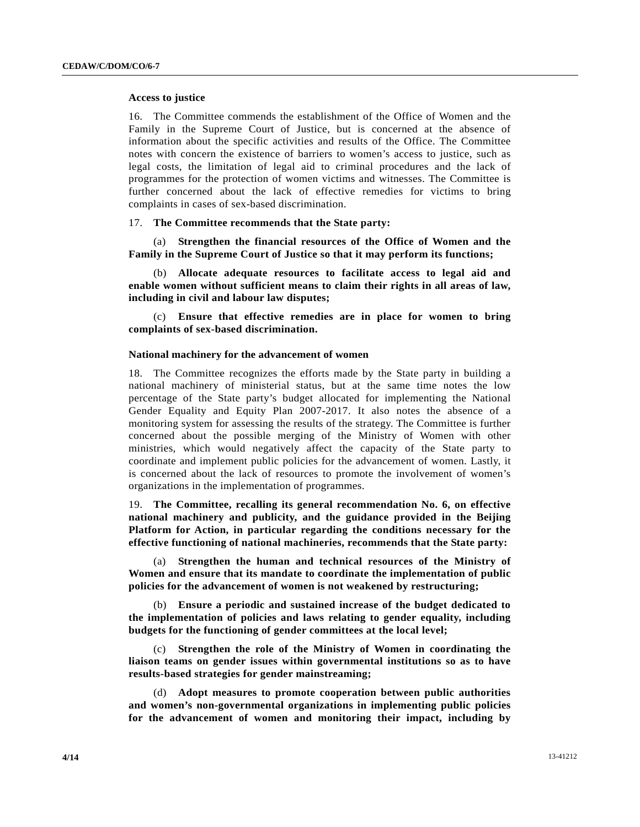#### **Access to justice**

16. The Committee commends the establishment of the Office of Women and the Family in the Supreme Court of Justice, but is concerned at the absence of information about the specific activities and results of the Office. The Committee notes with concern the existence of barriers to women's access to justice, such as legal costs, the limitation of legal aid to criminal procedures and the lack of programmes for the protection of women victims and witnesses. The Committee is further concerned about the lack of effective remedies for victims to bring complaints in cases of sex-based discrimination.

#### 17. **The Committee recommends that the State party:**

 (a) **Strengthen the financial resources of the Office of Women and the Family in the Supreme Court of Justice so that it may perform its functions;**

 (b) **Allocate adequate resources to facilitate access to legal aid and enable women without sufficient means to claim their rights in all areas of law, including in civil and labour law disputes;**

 (c) **Ensure that effective remedies are in place for women to bring complaints of sex-based discrimination.**

## **National machinery for the advancement of women**

18. The Committee recognizes the efforts made by the State party in building a national machinery of ministerial status, but at the same time notes the low percentage of the State party's budget allocated for implementing the National Gender Equality and Equity Plan 2007-2017. It also notes the absence of a monitoring system for assessing the results of the strategy. The Committee is further concerned about the possible merging of the Ministry of Women with other ministries, which would negatively affect the capacity of the State party to coordinate and implement public policies for the advancement of women. Lastly, it is concerned about the lack of resources to promote the involvement of women's organizations in the implementation of programmes.

19. **The Committee, recalling its general recommendation No. 6, on effective national machinery and publicity, and the guidance provided in the Beijing Platform for Action, in particular regarding the conditions necessary for the effective functioning of national machineries, recommends that the State party:**

 (a) **Strengthen the human and technical resources of the Ministry of Women and ensure that its mandate to coordinate the implementation of public policies for the advancement of women is not weakened by restructuring;**

 (b) **Ensure a periodic and sustained increase of the budget dedicated to the implementation of policies and laws relating to gender equality, including budgets for the functioning of gender committees at the local level;**

 (c) **Strengthen the role of the Ministry of Women in coordinating the liaison teams on gender issues within governmental institutions so as to have results-based strategies for gender mainstreaming;**

 (d) **Adopt measures to promote cooperation between public authorities and women's non-governmental organizations in implementing public policies for the advancement of women and monitoring their impact, including by**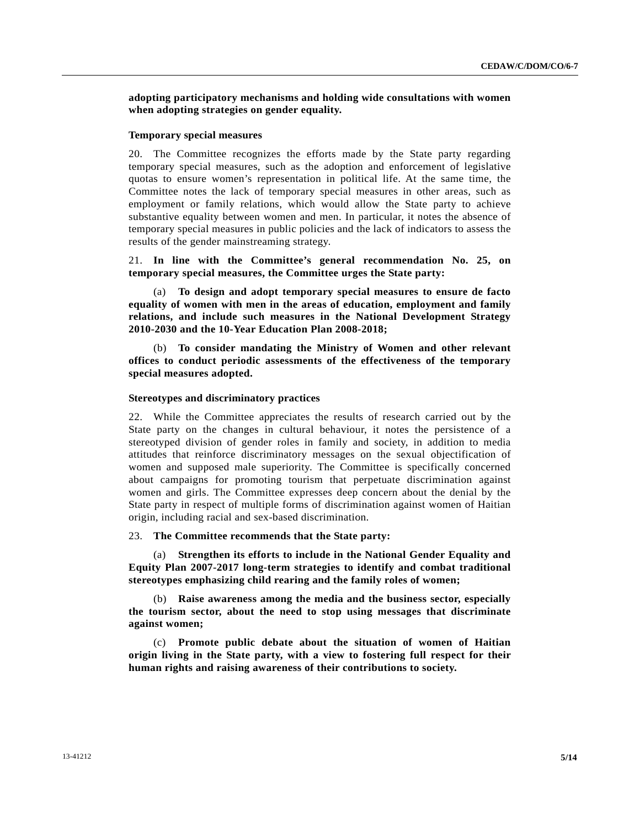**adopting participatory mechanisms and holding wide consultations with women when adopting strategies on gender equality.**

## **Temporary special measures**

20. The Committee recognizes the efforts made by the State party regarding temporary special measures, such as the adoption and enforcement of legislative quotas to ensure women's representation in political life. At the same time, the Committee notes the lack of temporary special measures in other areas, such as employment or family relations, which would allow the State party to achieve substantive equality between women and men. In particular, it notes the absence of temporary special measures in public policies and the lack of indicators to assess the results of the gender mainstreaming strategy.

21. **In line with the Committee's general recommendation No. 25, on temporary special measures, the Committee urges the State party:**

 (a) **To design and adopt temporary special measures to ensure de facto equality of women with men in the areas of education, employment and family relations, and include such measures in the National Development Strategy 2010-2030 and the 10-Year Education Plan 2008-2018;**

 (b) **To consider mandating the Ministry of Women and other relevant offices to conduct periodic assessments of the effectiveness of the temporary special measures adopted.**

#### **Stereotypes and discriminatory practices**

22. While the Committee appreciates the results of research carried out by the State party on the changes in cultural behaviour, it notes the persistence of a stereotyped division of gender roles in family and society, in addition to media attitudes that reinforce discriminatory messages on the sexual objectification of women and supposed male superiority. The Committee is specifically concerned about campaigns for promoting tourism that perpetuate discrimination against women and girls. The Committee expresses deep concern about the denial by the State party in respect of multiple forms of discrimination against women of Haitian origin, including racial and sex-based discrimination.

#### 23. **The Committee recommends that the State party:**

 (a) **Strengthen its efforts to include in the National Gender Equality and Equity Plan 2007-2017 long-term strategies to identify and combat traditional stereotypes emphasizing child rearing and the family roles of women;**

 (b) **Raise awareness among the media and the business sector, especially the tourism sector, about the need to stop using messages that discriminate against women;**

 (c) **Promote public debate about the situation of women of Haitian origin living in the State party, with a view to fostering full respect for their human rights and raising awareness of their contributions to society.**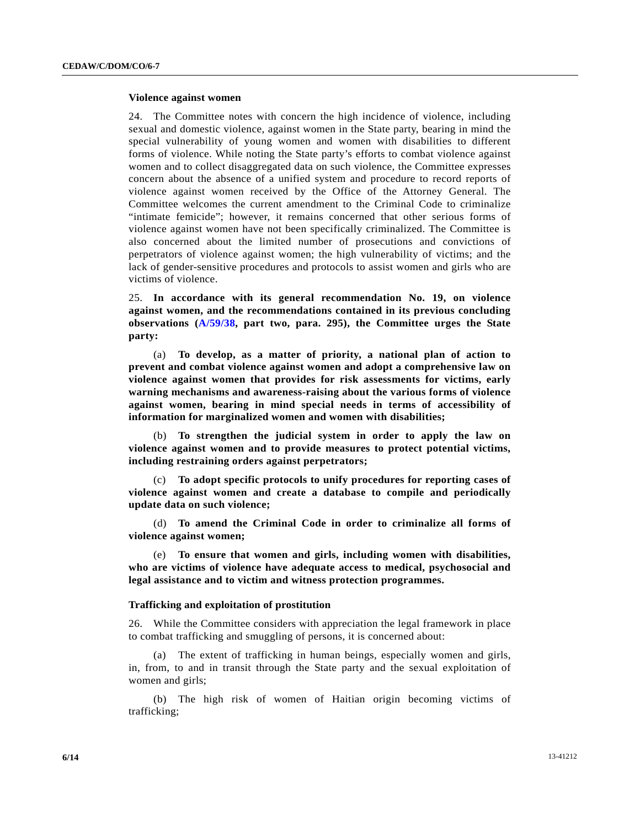## **Violence against women**

24. The Committee notes with concern the high incidence of violence, including sexual and domestic violence, against women in the State party, bearing in mind the special vulnerability of young women and women with disabilities to different forms of violence. While noting the State party's efforts to combat violence against women and to collect disaggregated data on such violence, the Committee expresses concern about the absence of a unified system and procedure to record reports of violence against women received by the Office of the Attorney General. The Committee welcomes the current amendment to the Criminal Code to criminalize "intimate femicide"; however, it remains concerned that other serious forms of violence against women have not been specifically criminalized. The Committee is also concerned about the limited number of prosecutions and convictions of perpetrators of violence against women; the high vulnerability of victims; and the lack of gender-sensitive procedures and protocols to assist women and girls who are victims of violence.

25. **In accordance with its general recommendation No. 19, on violence against women, and the recommendations contained in its previous concluding observations ([A/59/38](http://undocs.org/A/59/38), part two, para. 295), the Committee urges the State party:**

 (a) **To develop, as a matter of priority, a national plan of action to prevent and combat violence against women and adopt a comprehensive law on violence against women that provides for risk assessments for victims, early warning mechanisms and awareness-raising about the various forms of violence against women, bearing in mind special needs in terms of accessibility of information for marginalized women and women with disabilities;**

 (b) **To strengthen the judicial system in order to apply the law on violence against women and to provide measures to protect potential victims, including restraining orders against perpetrators;**

 (c) **To adopt specific protocols to unify procedures for reporting cases of violence against women and create a database to compile and periodically update data on such violence;**

 (d) **To amend the Criminal Code in order to criminalize all forms of violence against women;**

 (e) **To ensure that women and girls, including women with disabilities, who are victims of violence have adequate access to medical, psychosocial and legal assistance and to victim and witness protection programmes.**

## **Trafficking and exploitation of prostitution**

26. While the Committee considers with appreciation the legal framework in place to combat trafficking and smuggling of persons, it is concerned about:

 (a) The extent of trafficking in human beings, especially women and girls, in, from, to and in transit through the State party and the sexual exploitation of women and girls;

 (b) The high risk of women of Haitian origin becoming victims of trafficking;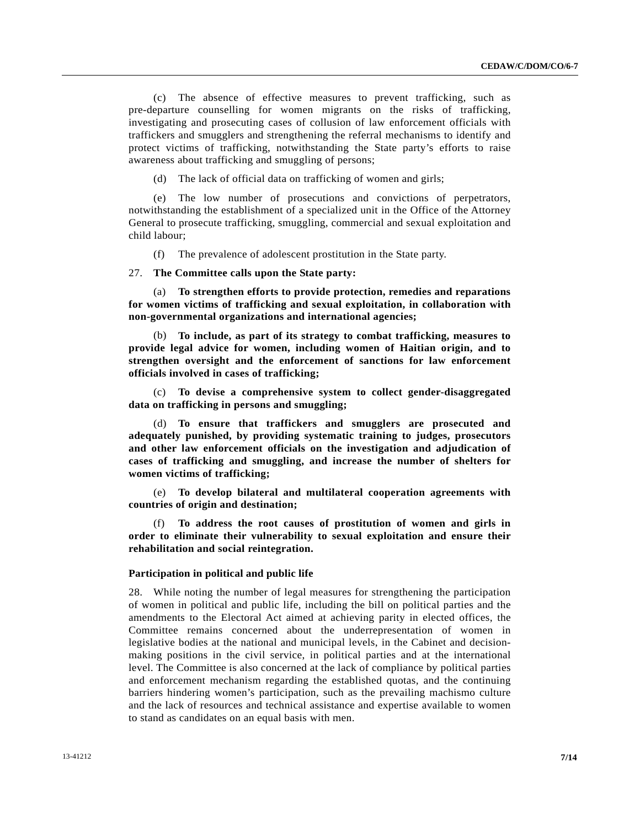(c) The absence of effective measures to prevent trafficking, such as pre-departure counselling for women migrants on the risks of trafficking, investigating and prosecuting cases of collusion of law enforcement officials with traffickers and smugglers and strengthening the referral mechanisms to identify and protect victims of trafficking, notwithstanding the State party's efforts to raise awareness about trafficking and smuggling of persons;

(d) The lack of official data on trafficking of women and girls;

 (e) The low number of prosecutions and convictions of perpetrators, notwithstanding the establishment of a specialized unit in the Office of the Attorney General to prosecute trafficking, smuggling, commercial and sexual exploitation and child labour;

(f) The prevalence of adolescent prostitution in the State party.

27. **The Committee calls upon the State party:**

 (a) **To strengthen efforts to provide protection, remedies and reparations for women victims of trafficking and sexual exploitation, in collaboration with non-governmental organizations and international agencies;**

 (b) **To include, as part of its strategy to combat trafficking, measures to provide legal advice for women, including women of Haitian origin, and to strengthen oversight and the enforcement of sanctions for law enforcement officials involved in cases of trafficking;**

 (c) **To devise a comprehensive system to collect gender-disaggregated data on trafficking in persons and smuggling;**

 (d) **To ensure that traffickers and smugglers are prosecuted and adequately punished, by providing systematic training to judges, prosecutors and other law enforcement officials on the investigation and adjudication of cases of trafficking and smuggling, and increase the number of shelters for women victims of trafficking;**

 (e) **To develop bilateral and multilateral cooperation agreements with countries of origin and destination;**

 (f) **To address the root causes of prostitution of women and girls in order to eliminate their vulnerability to sexual exploitation and ensure their rehabilitation and social reintegration.**

## **Participation in political and public life**

28. While noting the number of legal measures for strengthening the participation of women in political and public life, including the bill on political parties and the amendments to the Electoral Act aimed at achieving parity in elected offices, the Committee remains concerned about the underrepresentation of women in legislative bodies at the national and municipal levels, in the Cabinet and decisionmaking positions in the civil service, in political parties and at the international level. The Committee is also concerned at the lack of compliance by political parties and enforcement mechanism regarding the established quotas, and the continuing barriers hindering women's participation, such as the prevailing machismo culture and the lack of resources and technical assistance and expertise available to women to stand as candidates on an equal basis with men.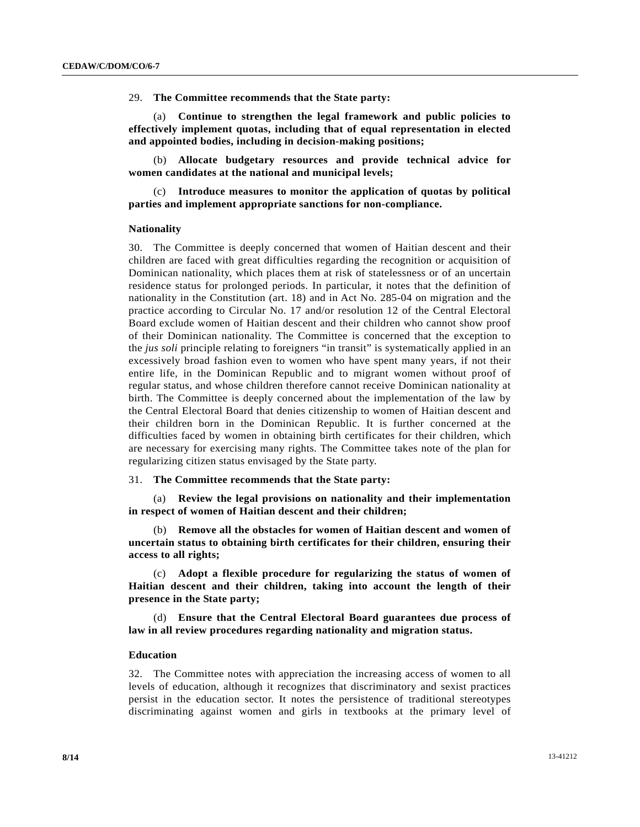29. **The Committee recommends that the State party:**

 (a) **Continue to strengthen the legal framework and public policies to effectively implement quotas, including that of equal representation in elected and appointed bodies, including in decision-making positions;**

 (b) **Allocate budgetary resources and provide technical advice for women candidates at the national and municipal levels;**

 (c) **Introduce measures to monitor the application of quotas by political parties and implement appropriate sanctions for non-compliance.**

## **Nationality**

30. The Committee is deeply concerned that women of Haitian descent and their children are faced with great difficulties regarding the recognition or acquisition of Dominican nationality, which places them at risk of statelessness or of an uncertain residence status for prolonged periods. In particular, it notes that the definition of nationality in the Constitution (art. 18) and in Act No. 285-04 on migration and the practice according to Circular No. 17 and/or resolution 12 of the Central Electoral Board exclude women of Haitian descent and their children who cannot show proof of their Dominican nationality. The Committee is concerned that the exception to the *jus soli* principle relating to foreigners "in transit" is systematically applied in an excessively broad fashion even to women who have spent many years, if not their entire life, in the Dominican Republic and to migrant women without proof of regular status, and whose children therefore cannot receive Dominican nationality at birth. The Committee is deeply concerned about the implementation of the law by the Central Electoral Board that denies citizenship to women of Haitian descent and their children born in the Dominican Republic. It is further concerned at the difficulties faced by women in obtaining birth certificates for their children, which are necessary for exercising many rights. The Committee takes note of the plan for regularizing citizen status envisaged by the State party.

## 31. **The Committee recommends that the State party:**

 (a) **Review the legal provisions on nationality and their implementation in respect of women of Haitian descent and their children;**

 (b) **Remove all the obstacles for women of Haitian descent and women of uncertain status to obtaining birth certificates for their children, ensuring their access to all rights;**

 (c) **Adopt a flexible procedure for regularizing the status of women of Haitian descent and their children, taking into account the length of their presence in the State party;**

 (d) **Ensure that the Central Electoral Board guarantees due process of law in all review procedures regarding nationality and migration status.**

## **Education**

32. The Committee notes with appreciation the increasing access of women to all levels of education, although it recognizes that discriminatory and sexist practices persist in the education sector. It notes the persistence of traditional stereotypes discriminating against women and girls in textbooks at the primary level of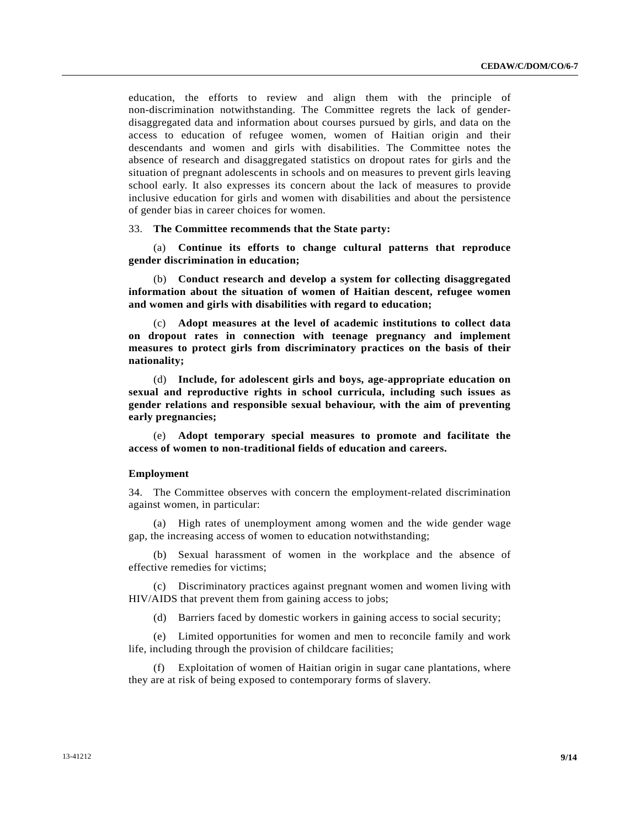education, the efforts to review and align them with the principle of non-discrimination notwithstanding. The Committee regrets the lack of genderdisaggregated data and information about courses pursued by girls, and data on the access to education of refugee women, women of Haitian origin and their descendants and women and girls with disabilities. The Committee notes the absence of research and disaggregated statistics on dropout rates for girls and the situation of pregnant adolescents in schools and on measures to prevent girls leaving school early. It also expresses its concern about the lack of measures to provide inclusive education for girls and women with disabilities and about the persistence of gender bias in career choices for women.

### 33. **The Committee recommends that the State party:**

 (a) **Continue its efforts to change cultural patterns that reproduce gender discrimination in education;**

 (b) **Conduct research and develop a system for collecting disaggregated information about the situation of women of Haitian descent, refugee women and women and girls with disabilities with regard to education;**

 (c) **Adopt measures at the level of academic institutions to collect data on dropout rates in connection with teenage pregnancy and implement measures to protect girls from discriminatory practices on the basis of their nationality;**

 (d) **Include, for adolescent girls and boys, age-appropriate education on sexual and reproductive rights in school curricula, including such issues as gender relations and responsible sexual behaviour, with the aim of preventing early pregnancies;**

 (e) **Adopt temporary special measures to promote and facilitate the access of women to non-traditional fields of education and careers.**

#### **Employment**

34. The Committee observes with concern the employment-related discrimination against women, in particular:

 (a) High rates of unemployment among women and the wide gender wage gap, the increasing access of women to education notwithstanding;

 (b) Sexual harassment of women in the workplace and the absence of effective remedies for victims;

 (c) Discriminatory practices against pregnant women and women living with HIV/AIDS that prevent them from gaining access to jobs;

(d) Barriers faced by domestic workers in gaining access to social security;

 (e) Limited opportunities for women and men to reconcile family and work life, including through the provision of childcare facilities;

 (f) Exploitation of women of Haitian origin in sugar cane plantations, where they are at risk of being exposed to contemporary forms of slavery.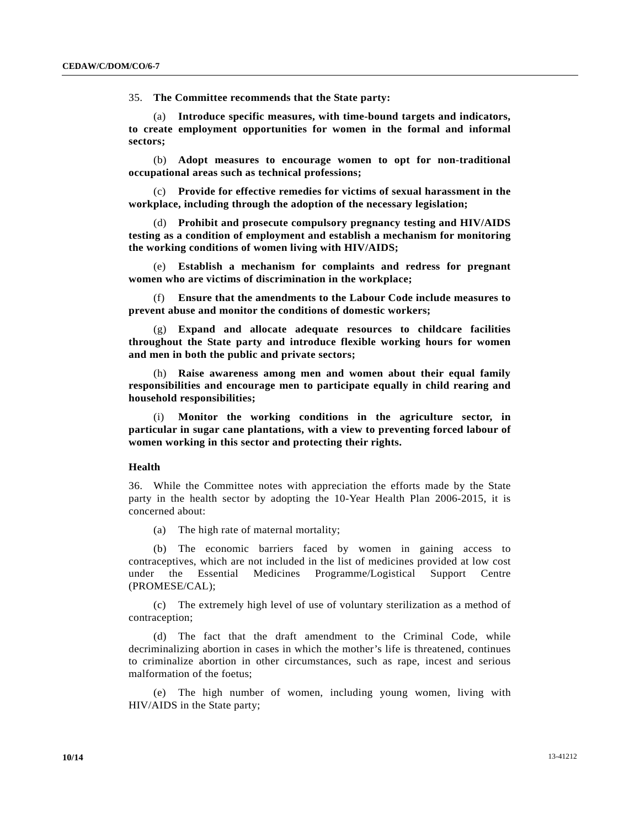35. **The Committee recommends that the State party:**

 (a) **Introduce specific measures, with time-bound targets and indicators, to create employment opportunities for women in the formal and informal sectors;**

 (b) **Adopt measures to encourage women to opt for non-traditional occupational areas such as technical professions;**

 (c) **Provide for effective remedies for victims of sexual harassment in the workplace, including through the adoption of the necessary legislation;**

 (d) **Prohibit and prosecute compulsory pregnancy testing and HIV/AIDS testing as a condition of employment and establish a mechanism for monitoring the working conditions of women living with HIV/AIDS;**

 (e) **Establish a mechanism for complaints and redress for pregnant women who are victims of discrimination in the workplace;**

 (f) **Ensure that the amendments to the Labour Code include measures to prevent abuse and monitor the conditions of domestic workers;**

 (g) **Expand and allocate adequate resources to childcare facilities throughout the State party and introduce flexible working hours for women and men in both the public and private sectors;**

 (h) **Raise awareness among men and women about their equal family responsibilities and encourage men to participate equally in child rearing and household responsibilities;**

 (i) **Monitor the working conditions in the agriculture sector, in particular in sugar cane plantations, with a view to preventing forced labour of women working in this sector and protecting their rights.**

### **Health**

36. While the Committee notes with appreciation the efforts made by the State party in the health sector by adopting the 10-Year Health Plan 2006-2015, it is concerned about:

(a) The high rate of maternal mortality;

 (b) The economic barriers faced by women in gaining access to contraceptives, which are not included in the list of medicines provided at low cost under the Essential Medicines Programme/Logistical Support Centre (PROMESE/CAL);

 (c) The extremely high level of use of voluntary sterilization as a method of contraception;

 (d) The fact that the draft amendment to the Criminal Code, while decriminalizing abortion in cases in which the mother's life is threatened, continues to criminalize abortion in other circumstances, such as rape, incest and serious malformation of the foetus;

 (e) The high number of women, including young women, living with HIV/AIDS in the State party;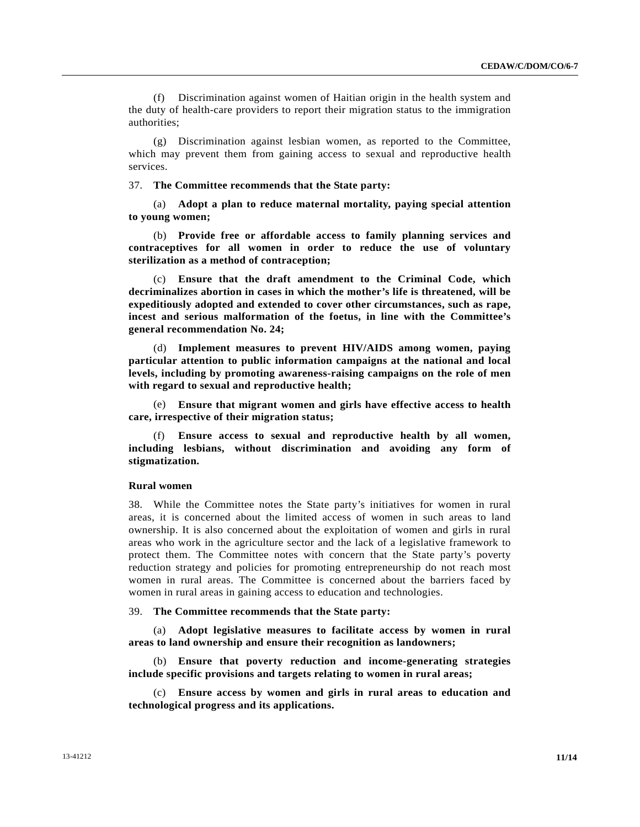(f) Discrimination against women of Haitian origin in the health system and the duty of health-care providers to report their migration status to the immigration authorities;

 (g) Discrimination against lesbian women, as reported to the Committee, which may prevent them from gaining access to sexual and reproductive health services.

## 37. **The Committee recommends that the State party:**

 (a) **Adopt a plan to reduce maternal mortality, paying special attention to young women;**

 (b) **Provide free or affordable access to family planning services and contraceptives for all women in order to reduce the use of voluntary sterilization as a method of contraception;**

 (c) **Ensure that the draft amendment to the Criminal Code, which decriminalizes abortion in cases in which the mother's life is threatened, will be expeditiously adopted and extended to cover other circumstances, such as rape, incest and serious malformation of the foetus, in line with the Committee's general recommendation No. 24;**

 (d) **Implement measures to prevent HIV/AIDS among women, paying particular attention to public information campaigns at the national and local levels, including by promoting awareness-raising campaigns on the role of men with regard to sexual and reproductive health;**

 (e) **Ensure that migrant women and girls have effective access to health care, irrespective of their migration status;**

 (f) **Ensure access to sexual and reproductive health by all women, including lesbians, without discrimination and avoiding any form of stigmatization.**

## **Rural women**

38. While the Committee notes the State party's initiatives for women in rural areas, it is concerned about the limited access of women in such areas to land ownership. It is also concerned about the exploitation of women and girls in rural areas who work in the agriculture sector and the lack of a legislative framework to protect them. The Committee notes with concern that the State party's poverty reduction strategy and policies for promoting entrepreneurship do not reach most women in rural areas. The Committee is concerned about the barriers faced by women in rural areas in gaining access to education and technologies.

#### 39. **The Committee recommends that the State party:**

 (a) **Adopt legislative measures to facilitate access by women in rural areas to land ownership and ensure their recognition as landowners;**

 (b) **Ensure that poverty reduction and income-generating strategies include specific provisions and targets relating to women in rural areas;**

 (c) **Ensure access by women and girls in rural areas to education and technological progress and its applications.**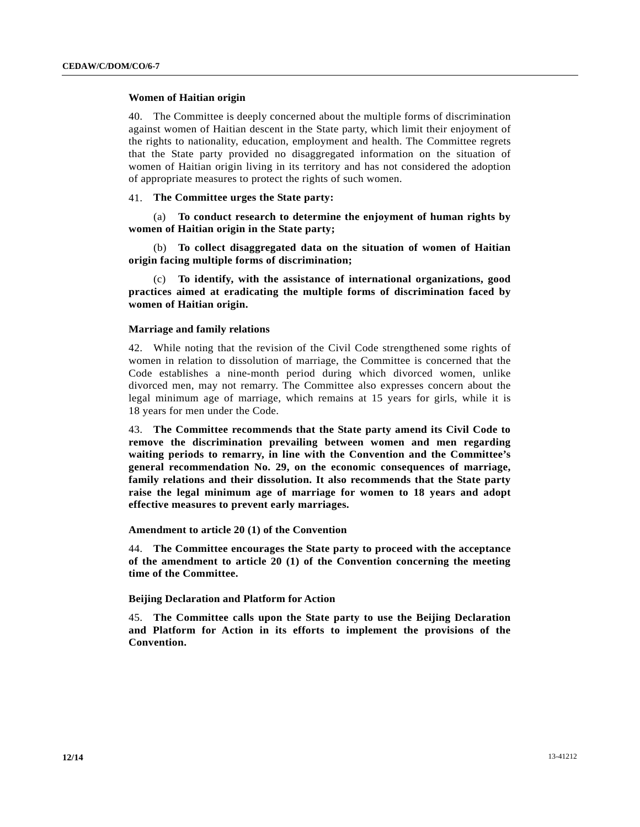## **Women of Haitian origin**

40. The Committee is deeply concerned about the multiple forms of discrimination against women of Haitian descent in the State party, which limit their enjoyment of the rights to nationality, education, employment and health. The Committee regrets that the State party provided no disaggregated information on the situation of women of Haitian origin living in its territory and has not considered the adoption of appropriate measures to protect the rights of such women.

## 41. **The Committee urges the State party:**

 (a) **To conduct research to determine the enjoyment of human rights by women of Haitian origin in the State party;**

 (b) **To collect disaggregated data on the situation of women of Haitian origin facing multiple forms of discrimination;**

 (c) **To identify, with the assistance of international organizations, good practices aimed at eradicating the multiple forms of discrimination faced by women of Haitian origin.**

### **Marriage and family relations**

42. While noting that the revision of the Civil Code strengthened some rights of women in relation to dissolution of marriage, the Committee is concerned that the Code establishes a nine-month period during which divorced women, unlike divorced men, may not remarry. The Committee also expresses concern about the legal minimum age of marriage, which remains at 15 years for girls, while it is 18 years for men under the Code.

43. **The Committee recommends that the State party amend its Civil Code to remove the discrimination prevailing between women and men regarding waiting periods to remarry, in line with the Convention and the Committee's general recommendation No. 29, on the economic consequences of marriage, family relations and their dissolution. It also recommends that the State party raise the legal minimum age of marriage for women to 18 years and adopt effective measures to prevent early marriages.**

### **Amendment to article 20 (1) of the Convention**

44. **The Committee encourages the State party to proceed with the acceptance of the amendment to article 20 (1) of the Convention concerning the meeting time of the Committee.**

### **Beijing Declaration and Platform for Action**

45. **The Committee calls upon the State party to use the Beijing Declaration and Platform for Action in its efforts to implement the provisions of the Convention.**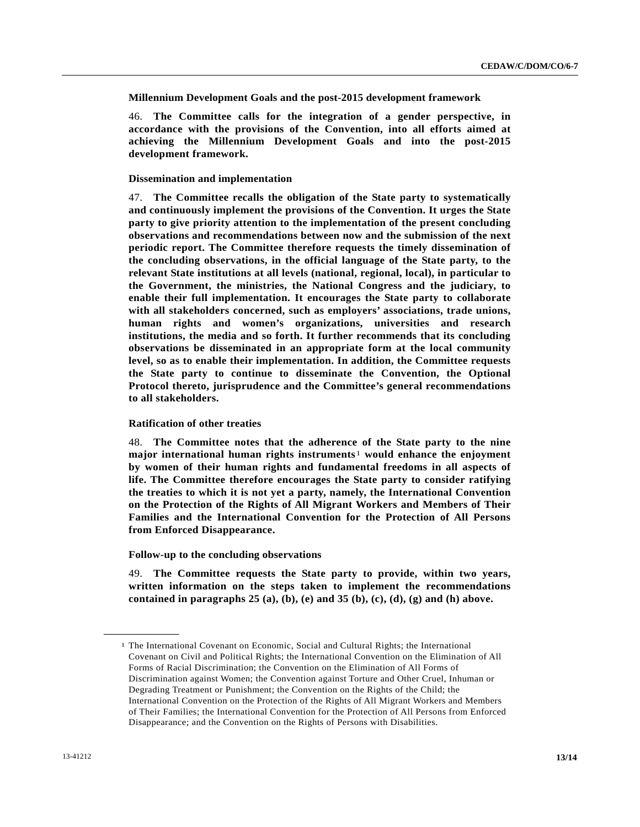**Millennium Development Goals and the post-2015 development framework** 

46. **The Committee calls for the integration of a gender perspective, in accordance with the provisions of the Convention, into all efforts aimed at achieving the Millennium Development Goals and into the post-2015 development framework.**

## **Dissemination and implementation**

47. **The Committee recalls the obligation of the State party to systematically and continuously implement the provisions of the Convention. It urges the State party to give priority attention to the implementation of the present concluding observations and recommendations between now and the submission of the next periodic report. The Committee therefore requests the timely dissemination of the concluding observations, in the official language of the State party, to the relevant State institutions at all levels (national, regional, local), in particular to the Government, the ministries, the National Congress and the judiciary, to enable their full implementation. It encourages the State party to collaborate with all stakeholders concerned, such as employers' associations, trade unions, human rights and women's organizations, universities and research institutions, the media and so forth. It further recommends that its concluding observations be disseminated in an appropriate form at the local community level, so as to enable their implementation. In addition, the Committee requests the State party to continue to disseminate the Convention, the Optional Protocol thereto, jurisprudence and the Committee's general recommendations to all stakeholders.**

## **Ratification of other treaties**

48. **The Committee notes that the adherence of the State party to the nine major international human rights instruments**[1](#page-12-0) **would enhance the enjoyment by women of their human rights and fundamental freedoms in all aspects of life. The Committee therefore encourages the State party to consider ratifying the treaties to which it is not yet a party, namely, the International Convention on the Protection of the Rights of All Migrant Workers and Members of Their Families and the International Convention for the Protection of All Persons from Enforced Disappearance.**

### **Follow-up to the concluding observations**

49. **The Committee requests the State party to provide, within two years, written information on the steps taken to implement the recommendations**  contained in paragraphs  $25$  (a), (b), (e) and  $35$  (b), (c), (d), (g) and (h) above.

<span id="page-12-0"></span>**\_\_\_\_\_\_\_\_\_\_\_\_\_\_\_\_\_\_** 

<sup>1</sup> The International Covenant on Economic, Social and Cultural Rights; the International Covenant on Civil and Political Rights; the International Convention on the Elimination of All Forms of Racial Discrimination; the Convention on the Elimination of All Forms of Discrimination against Women; the Convention against Torture and Other Cruel, Inhuman or Degrading Treatment or Punishment; the Convention on the Rights of the Child; the International Convention on the Protection of the Rights of All Migrant Workers and Members of Their Families; the International Convention for the Protection of All Persons from Enforced Disappearance; and the Convention on the Rights of Persons with Disabilities.